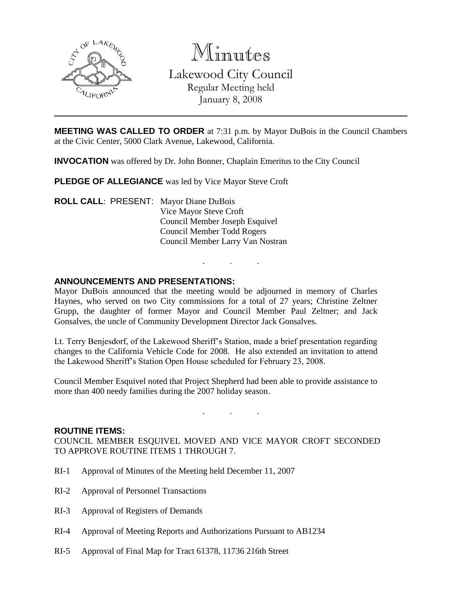

Minutes

Lakewood City Council Regular Meeting held

January 8, 2008

**MEETING WAS CALLED TO ORDER** at 7:31 p.m. by Mayor DuBois in the Council Chambers at the Civic Center, 5000 Clark Avenue, Lakewood, California.

**INVOCATION** was offered by Dr. John Bonner, Chaplain Emeritus to the City Council

**PLEDGE OF ALLEGIANCE** was led by Vice Mayor Steve Croft

**ROLL CALL**: PRESENT: Mayor Diane DuBois Vice Mayor Steve Croft Council Member Joseph Esquivel Council Member Todd Rogers Council Member Larry Van Nostran

# **ANNOUNCEMENTS AND PRESENTATIONS:**

Mayor DuBois announced that the meeting would be adjourned in memory of Charles Haynes, who served on two City commissions for a total of 27 years; Christine Zeltner Grupp, the daughter of former Mayor and Council Member Paul Zeltner; and Jack Gonsalves, the uncle of Community Development Director Jack Gonsalves.

. . .

Lt. Terry Benjesdorf, of the Lakewood Sheriff's Station, made a brief presentation regarding changes to the California Vehicle Code for 2008. He also extended an invitation to attend the Lakewood Sheriff's Station Open House scheduled for February 23, 2008.

Council Member Esquivel noted that Project Shepherd had been able to provide assistance to more than 400 needy families during the 2007 holiday season.

. . .

#### **ROUTINE ITEMS:**

COUNCIL MEMBER ESQUIVEL MOVED AND VICE MAYOR CROFT SECONDED TO APPROVE ROUTINE ITEMS 1 THROUGH 7.

- RI-1 Approval of Minutes of the Meeting held December 11, 2007
- RI-2 Approval of Personnel Transactions
- RI-3 Approval of Registers of Demands
- RI-4 Approval of Meeting Reports and Authorizations Pursuant to AB1234
- RI-5 Approval of Final Map for Tract 61378, 11736 216th Street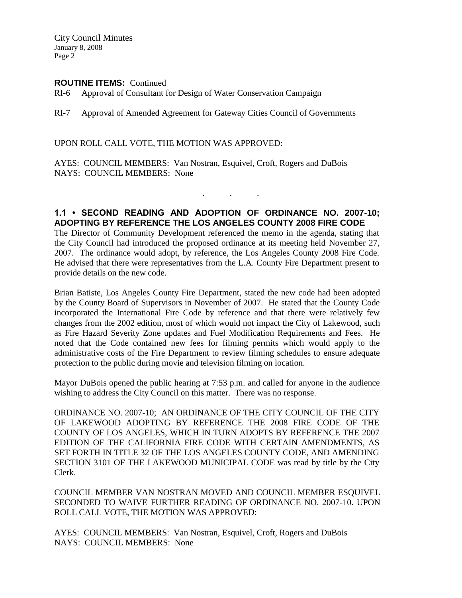City Council Minutes January 8, 2008 Page 2

#### **ROUTINE ITEMS:** Continued

RI-6 Approval of Consultant for Design of Water Conservation Campaign

RI-7 Approval of Amended Agreement for Gateway Cities Council of Governments

UPON ROLL CALL VOTE, THE MOTION WAS APPROVED:

AYES: COUNCIL MEMBERS: Van Nostran, Esquivel, Croft, Rogers and DuBois NAYS: COUNCIL MEMBERS: None

#### **1.1 • SECOND READING AND ADOPTION OF ORDINANCE NO. 2007-10; ADOPTING BY REFERENCE THE LOS ANGELES COUNTY 2008 FIRE CODE**

. . .

The Director of Community Development referenced the memo in the agenda, stating that the City Council had introduced the proposed ordinance at its meeting held November 27, 2007. The ordinance would adopt, by reference, the Los Angeles County 2008 Fire Code. He advised that there were representatives from the L.A. County Fire Department present to provide details on the new code.

Brian Batiste, Los Angeles County Fire Department, stated the new code had been adopted by the County Board of Supervisors in November of 2007. He stated that the County Code incorporated the International Fire Code by reference and that there were relatively few changes from the 2002 edition, most of which would not impact the City of Lakewood, such as Fire Hazard Severity Zone updates and Fuel Modification Requirements and Fees. He noted that the Code contained new fees for filming permits which would apply to the administrative costs of the Fire Department to review filming schedules to ensure adequate protection to the public during movie and television filming on location.

Mayor DuBois opened the public hearing at 7:53 p.m. and called for anyone in the audience wishing to address the City Council on this matter. There was no response.

ORDINANCE NO. 2007-10; AN ORDINANCE OF THE CITY COUNCIL OF THE CITY OF LAKEWOOD ADOPTING BY REFERENCE THE 2008 FIRE CODE OF THE COUNTY OF LOS ANGELES, WHICH IN TURN ADOPTS BY REFERENCE THE 2007 EDITION OF THE CALIFORNIA FIRE CODE WITH CERTAIN AMENDMENTS, AS SET FORTH IN TITLE 32 OF THE LOS ANGELES COUNTY CODE, AND AMENDING SECTION 3101 OF THE LAKEWOOD MUNICIPAL CODE was read by title by the City Clerk.

COUNCIL MEMBER VAN NOSTRAN MOVED AND COUNCIL MEMBER ESQUIVEL SECONDED TO WAIVE FURTHER READING OF ORDINANCE NO. 2007-10. UPON ROLL CALL VOTE, THE MOTION WAS APPROVED:

AYES: COUNCIL MEMBERS: Van Nostran, Esquivel, Croft, Rogers and DuBois NAYS: COUNCIL MEMBERS: None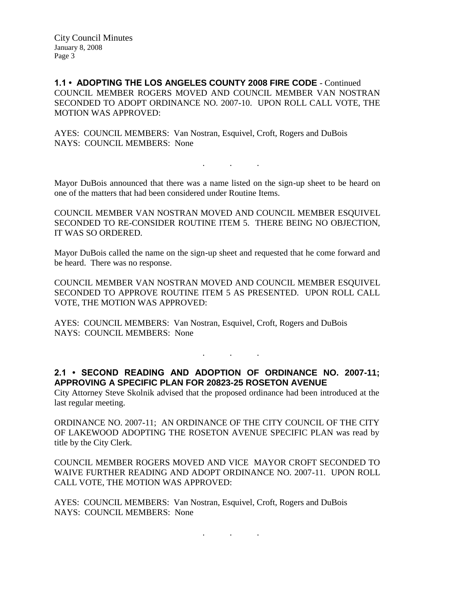**1.1 • ADOPTING THE LOS ANGELES COUNTY 2008 FIRE CODE** - Continued COUNCIL MEMBER ROGERS MOVED AND COUNCIL MEMBER VAN NOSTRAN SECONDED TO ADOPT ORDINANCE NO. 2007-10. UPON ROLL CALL VOTE, THE MOTION WAS APPROVED:

AYES: COUNCIL MEMBERS: Van Nostran, Esquivel, Croft, Rogers and DuBois NAYS: COUNCIL MEMBERS: None

Mayor DuBois announced that there was a name listed on the sign-up sheet to be heard on one of the matters that had been considered under Routine Items.

. . .

COUNCIL MEMBER VAN NOSTRAN MOVED AND COUNCIL MEMBER ESQUIVEL SECONDED TO RE-CONSIDER ROUTINE ITEM 5. THERE BEING NO OBJECTION, IT WAS SO ORDERED.

Mayor DuBois called the name on the sign-up sheet and requested that he come forward and be heard. There was no response.

COUNCIL MEMBER VAN NOSTRAN MOVED AND COUNCIL MEMBER ESQUIVEL SECONDED TO APPROVE ROUTINE ITEM 5 AS PRESENTED. UPON ROLL CALL VOTE, THE MOTION WAS APPROVED:

AYES: COUNCIL MEMBERS: Van Nostran, Esquivel, Croft, Rogers and DuBois NAYS: COUNCIL MEMBERS: None

**2.1 • SECOND READING AND ADOPTION OF ORDINANCE NO. 2007-11; APPROVING A SPECIFIC PLAN FOR 20823-25 ROSETON AVENUE**

. . .

City Attorney Steve Skolnik advised that the proposed ordinance had been introduced at the last regular meeting.

ORDINANCE NO. 2007-11; AN ORDINANCE OF THE CITY COUNCIL OF THE CITY OF LAKEWOOD ADOPTING THE ROSETON AVENUE SPECIFIC PLAN was read by title by the City Clerk.

COUNCIL MEMBER ROGERS MOVED AND VICE MAYOR CROFT SECONDED TO WAIVE FURTHER READING AND ADOPT ORDINANCE NO. 2007-11. UPON ROLL CALL VOTE, THE MOTION WAS APPROVED:

. . .

AYES: COUNCIL MEMBERS: Van Nostran, Esquivel, Croft, Rogers and DuBois NAYS: COUNCIL MEMBERS: None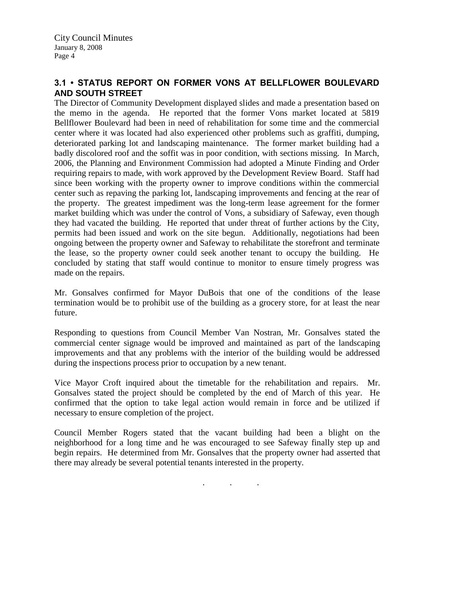# **3.1 • STATUS REPORT ON FORMER VONS AT BELLFLOWER BOULEVARD AND SOUTH STREET**

The Director of Community Development displayed slides and made a presentation based on the memo in the agenda. He reported that the former Vons market located at 5819 Bellflower Boulevard had been in need of rehabilitation for some time and the commercial center where it was located had also experienced other problems such as graffiti, dumping, deteriorated parking lot and landscaping maintenance. The former market building had a badly discolored roof and the soffit was in poor condition, with sections missing. In March, 2006, the Planning and Environment Commission had adopted a Minute Finding and Order requiring repairs to made, with work approved by the Development Review Board. Staff had since been working with the property owner to improve conditions within the commercial center such as repaving the parking lot, landscaping improvements and fencing at the rear of the property. The greatest impediment was the long-term lease agreement for the former market building which was under the control of Vons, a subsidiary of Safeway, even though they had vacated the building. He reported that under threat of further actions by the City, permits had been issued and work on the site begun. Additionally, negotiations had been ongoing between the property owner and Safeway to rehabilitate the storefront and terminate the lease, so the property owner could seek another tenant to occupy the building. He concluded by stating that staff would continue to monitor to ensure timely progress was made on the repairs.

Mr. Gonsalves confirmed for Mayor DuBois that one of the conditions of the lease termination would be to prohibit use of the building as a grocery store, for at least the near future.

Responding to questions from Council Member Van Nostran, Mr. Gonsalves stated the commercial center signage would be improved and maintained as part of the landscaping improvements and that any problems with the interior of the building would be addressed during the inspections process prior to occupation by a new tenant.

Vice Mayor Croft inquired about the timetable for the rehabilitation and repairs. Mr. Gonsalves stated the project should be completed by the end of March of this year. He confirmed that the option to take legal action would remain in force and be utilized if necessary to ensure completion of the project.

Council Member Rogers stated that the vacant building had been a blight on the neighborhood for a long time and he was encouraged to see Safeway finally step up and begin repairs. He determined from Mr. Gonsalves that the property owner had asserted that there may already be several potential tenants interested in the property.

. . .